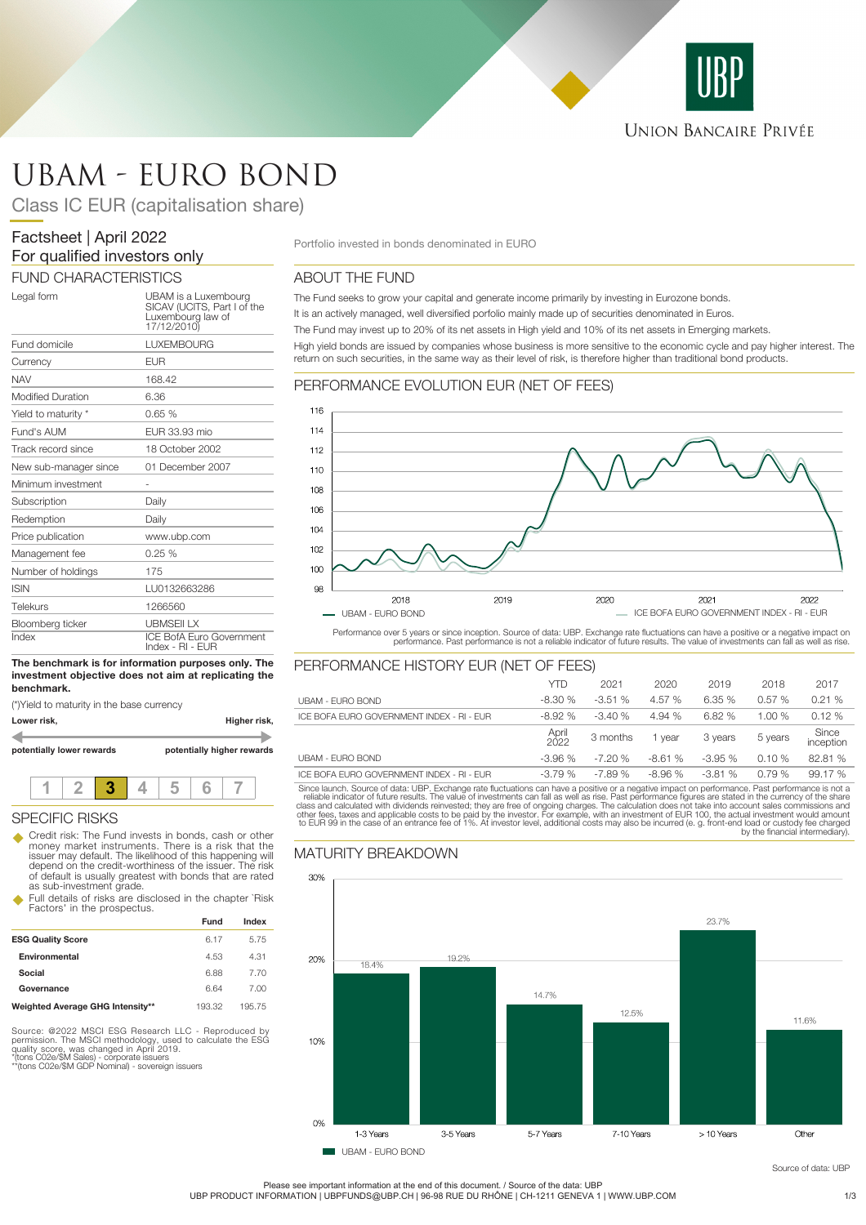

# UBAM - EURO BOND

Class IC EUR (capitalisation share)

# Factsheet | April 2022 For qualified investors only

### FUND CHARACTERISTICS

| Legal form                | UBAM is a Luxembourg<br>SICAV (UCITS, Part I of the<br>Luxembourg law of<br>17/12/2010) |
|---------------------------|-----------------------------------------------------------------------------------------|
| Fund domicile             | <b>LUXEMBOURG</b>                                                                       |
| Currency                  | <b>EUR</b>                                                                              |
| <b>NAV</b>                | 168.42                                                                                  |
| <b>Modified Duration</b>  | 6.36                                                                                    |
| Yield to maturity *       | 0.65%                                                                                   |
| Fund's AUM                | EUR 33.93 mio                                                                           |
| Track record since        | 18 October 2002                                                                         |
| New sub-manager since     | 01 December 2007                                                                        |
| Minimum investment        |                                                                                         |
| Subscription              | Daily                                                                                   |
| Redemption                | Daily                                                                                   |
| Price publication         | www.ubp.com                                                                             |
| Management fee            | 0.25%                                                                                   |
| Number of holdings        | 175                                                                                     |
| <b>ISIN</b>               | LU0132663286                                                                            |
| Telekurs                  | 1266560                                                                                 |
| Bloomberg ticker<br>Index | <b>UBMSEILX</b><br><b>ICE BofA Euro Government</b><br>Index - RI - EUR                  |

#### **The benchmark is for information purposes only. The investment objective does not aim at replicating the benchmark.**

(\*)Yield to maturity in the base currency



### SPECIFIC RISKS

u Credit risk: The Fund invests in bonds, cash or other money market instruments. There is a risk that the issuer may default. The likelihood of this happening will depend on the credit-worthiness of the issuer. The risk of default is usually greatest with bonds that are rated as sub-investment grade.

Full details of risks are disclosed in the chapter `Risk Factors' in the prospectus.

|                                  | Fund   | Index |
|----------------------------------|--------|-------|
| <b>ESG Quality Score</b>         | 6.17   | 5.75  |
| Environmental                    | 4.53   | 4.31  |
| Social                           | 6.88   | 770   |
| Governance                       | 6.64   | 7.00  |
| Weighted Average GHG Intensity** | 193.32 | 19575 |

Source: @2022 MSCI ESG Research LLC - Reproduced by<br>permission. The MSCI methodology, used to calculate the ESG<br>quality score, was changed in April 2019.<br>"(tons C02e/\$M GDP Nominal) - sovereign issuers<br>""(tons C02e/\$M GDP

Portfolio invested in bonds denominated in EURO

### ABOUT THE FUND

The Fund seeks to grow your capital and generate income primarily by investing in Eurozone bonds. It is an actively managed, well diversified porfolio mainly made up of securities denominated in Euros. The Fund may invest up to 20% of its net assets in High yield and 10% of its net assets in Emerging markets. High yield bonds are issued by companies whose business is more sensitive to the economic cycle and pay higher interest. The return on such securities, in the same way as their level of risk, is therefore higher than traditional bond products.

## PERFORMANCE EVOLUTION EUR (NET OF FEES)



Performance over 5 years or since inception. Source of data: UBP. Exchange rate fluctuations can have a positive or a negative impact on<br>performance. Past performance is not a reliable indicator of future results. The valu

### PERFORMANCE HISTORY EUR (NET OF FEES)

|                                           | <b>YTD</b>    | 2021     | 2020     | 2019     | 2018    | 2017               |
|-------------------------------------------|---------------|----------|----------|----------|---------|--------------------|
| UBAM - FURO BOND                          | $-8.30%$      | $-3.51%$ | 4.57 %   | 6.35%    | 0.57%   | 0.21%              |
| ICE BOFA EURO GOVERNMENT INDEX - RI - EUR | $-8.92%$      | $-3.40%$ | 4.94 %   | 6.82%    | 1.00%   | 0.12%              |
|                                           | April<br>2022 | 3 months | vear     | 3 years  | 5 years | Since<br>inception |
| UBAM - FURO BOND                          | $-3.96%$      | $-7.20%$ | $-8.61%$ | $-3.95%$ | 0.10%   | 82.81 %            |
| ICE BOFA EURO GOVERNMENT INDEX - RI - EUR | $-3.79%$      | $-7.89%$ | $-8.96%$ | $-3.81%$ | 0.79%   | 99.17%             |

Since launch. Source of data: UBP. Exchange rate fluctuations can have a positive or a negative impact on performance. Past performance is not a reliable indicator of future results. The value of investments can fall as we

## MATURITY BREAKDOWN



Source of data: UBP

Please see important information at the end of this document. / Source of the data: UBP UBP PRODUCT INFORMATION | UBPFUNDS@UBP.CH | 96-98 RUE DU RHÔNE | CH-1211 GENEVA 1 | WWW.UBP.COM 1/3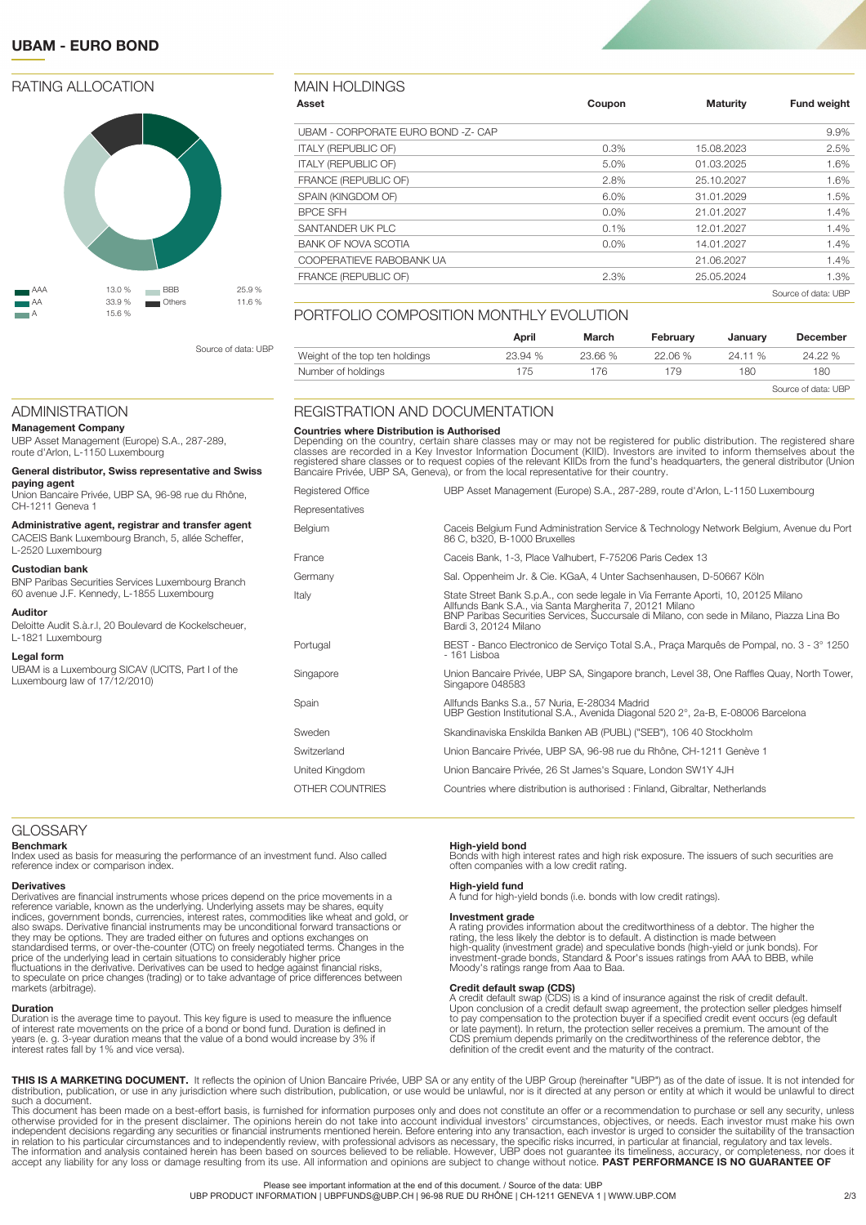### **UBAM - EURO BOND**

### RATING ALLOCATION



Source of data: UBP

### ADMINISTRATION

**Management Company**

UBP Asset Management (Europe) S.A., 287-289, route d'Arlon, L-1150 Luxembourg

#### **General distributor, Swiss representative and Swiss paying agent**

Union Bancaire Privée, UBP SA, 96-98 rue du Rhône, CH-1211 Geneva 1

**Administrative agent, registrar and transfer agent** CACEIS Bank Luxembourg Branch, 5, allée Scheffer,

L-2520 Luxembourg

### **Custodian bank**

BNP Paribas Securities Services Luxembourg Branch 60 avenue J.F. Kennedy, L-1855 Luxembourg

### **Auditor**

Deloitte Audit S.à.r.l, 20 Boulevard de Kockelscheuer, L-1821 Luxembourg

### **Legal form**

UBAM is a Luxembourg SICAV (UCITS, Part I of the Luxembourg law of 17/12/2010)

### MAIN HOLDINGS

| Asset                              | Coupon  | <b>Maturity</b> | <b>Fund weight</b>  |
|------------------------------------|---------|-----------------|---------------------|
| UBAM - CORPORATE EURO BOND -Z- CAP |         |                 | 9.9%                |
| <b>ITALY (REPUBLIC OF)</b>         | 0.3%    | 15.08.2023      | 2.5%                |
| <b>ITALY (REPUBLIC OF)</b>         | 5.0%    | 01.03.2025      | 1.6%                |
| FRANCE (REPUBLIC OF)               | 2.8%    | 25.10.2027      | 1.6%                |
| SPAIN (KINGDOM OF)                 | 6.0%    | 31.01.2029      | 1.5%                |
| <b>BPCE SFH</b>                    | $0.0\%$ | 21.01.2027      | 1.4%                |
| SANTANDER UK PLC                   | 0.1%    | 12.01.2027      | 1.4%                |
| <b>BANK OF NOVA SCOTIA</b>         | $0.0\%$ | 14.01.2027      | 1.4%                |
| COOPERATIEVE RABOBANK UA           |         | 21.06.2027      | 1.4%                |
| FRANCE (REPUBLIC OF)               | 2.3%    | 25.05.2024      | 1.3%                |
|                                    |         |                 | Source of data: UBP |

### PORTFOLIO COMPOSITION MONTHLY FVOLUTION

|                                | April   | March   | February | Januarv | <b>December</b>     |
|--------------------------------|---------|---------|----------|---------|---------------------|
| Weight of the top ten holdings | 23.94 % | 23.66 % | 22.06 %  | 24.11 % | 24.22 %             |
| Number of holdings             | 175     | 176     | 179      | 180     | 180                 |
|                                |         |         |          |         | Source of data: UBP |

#### REGISTRATION AND DOCUMENTATION

**Countries where Distribution is Authorised**<br>Depending on the country, certain share classes may or may not be registered for public distribution. The registered share<br>classes are recorded in a Key Investor Information Doc

| Registered Office | UBP Asset Management (Europe) S.A., 287-289, route d'Arlon, L-1150 Luxembourg                                                                                                                                                                                        |
|-------------------|----------------------------------------------------------------------------------------------------------------------------------------------------------------------------------------------------------------------------------------------------------------------|
| Representatives   |                                                                                                                                                                                                                                                                      |
| Belgium           | Caceis Belgium Fund Administration Service & Technology Network Belgium, Avenue du Port<br>86 C, b320, B-1000 Bruxelles                                                                                                                                              |
| France            | Caceis Bank, 1-3, Place Valhubert, F-75206 Paris Cedex 13                                                                                                                                                                                                            |
| Germany           | Sal. Oppenheim Jr. & Cie. KGaA, 4 Unter Sachsenhausen, D-50667 Köln                                                                                                                                                                                                  |
| Italy             | State Street Bank S.p.A., con sede legale in Via Ferrante Aporti, 10, 20125 Milano<br>Allfunds Bank S.A., via Santa Margherita 7, 20121 Milano<br>BNP Paribas Securities Services, Succursale di Milano, con sede in Milano, Piazza Lina Bo<br>Bardi 3, 20124 Milano |
| Portugal          | BEST - Banco Electronico de Serviço Total S.A., Praça Marquês de Pompal, no. 3 - 3° 1250<br>- 161 Lisboa                                                                                                                                                             |
| Singapore         | Union Bancaire Privée, UBP SA, Singapore branch, Level 38, One Raffles Quay, North Tower,<br>Singapore 048583                                                                                                                                                        |
| Spain             | Allfunds Banks S.a., 57 Nuria, E-28034 Madrid<br>UBP Gestion Institutional S.A., Avenida Diagonal 520 2°, 2a-B, E-08006 Barcelona                                                                                                                                    |
| Sweden            | Skandinaviska Enskilda Banken AB (PUBL) ("SEB"), 106 40 Stockholm                                                                                                                                                                                                    |
| Switzerland       | Union Bancaire Privée, UBP SA, 96-98 rue du Rhône, CH-1211 Genève 1                                                                                                                                                                                                  |
| United Kingdom    | Union Bancaire Privée, 26 St James's Square, London SW1Y 4JH                                                                                                                                                                                                         |
| OTHER COUNTRIES   | Countries where distribution is authorised: Finland, Gibraltar, Netherlands                                                                                                                                                                                          |

### **GLOSSARY**

#### **Benchmark**

Index used as basis for measuring the performance of an investment fund. Also called reference index or comparison index.

#### **Derivatives**

Derivatives are financial instruments whose prices depend on the price movements in a<br>reference variable, known as the underlying. Underlying assets may be shares, equity<br>indices, government bonds, currencies, interest rat they may be options. They are traded either on futures and options exchanges on standardised terms, or over-the-counter (OTC) on freely negotiated terms. Changes in the price of the underlying lead in certain situations to considerably higher price fluctuations in the derivative. Derivatives can be used to hedge against financial risks, to speculate on price changes (trading) or to take advantage of price differences between markets (arbitrage).

#### **Duration**

Duration is the average time to payout. This key figure is used to measure the influence of interest rate movements on the price of a bond or bond fund. Duration is defined in years (e. g. 3-year duration means that the value of a bond would increase by 3% if interest rates fall by 1% and vice versa).

#### **High-yield bond**

Bonds with high interest rates and high risk exposure. The issuers of such securities are often companies with a low credit rating.

#### **High-yield fund**

**gin yield fund funds** (i.e. bonds with low credit ratings).

**Investment grade** A rating provides information about the creditworthiness of a debtor. The higher the rating, the less likely the debtor is to default. A distinction is made between<br>high-quality (investment grade) and speculative bonds (high-yield or junk bonds). For<br>investment-grade bonds, Standard & Poor's issues ratings Moody's ratings range from Aaa to Baa.

#### **Credit default swap (CDS)**

A credit default swap (CDS) is a kind of insurance against the risk of credit default. Upon conclusion of a credit default swap agreement, the protection seller pledges himself to pay compensation to the protection buyer if a specified credit event occurs (eg default or late payment). In return, the protection seller receives a premium. The amount of the CDS premium depends primarily on the creditworthiness of the reference debtor, the definition of the credit event and the maturity of the contract.

**THIS IS A MARKETING DOCUMENT.** It reflects the opinion of Union Bancaire Privée, UBP SA or any entity of the UBP Group (hereinafter "UBP") as of the date of issue. It is not intended for<br>distribution, publication, or use such a document.

This document has been made on a best-effort basis, is furnished for information purposes only and does not constitute an offer or a recommendation to purchase or sell any security, unless<br>otherwise provided for in the pre in relation to his particular circumstances and to independently review, with professional advisors as necessary, the specific risks incurred, in particular at financial, regulatory and tax levels.<br>The information and anal accept any liability for any loss or damage resulting from its use. All information and opinions are subject to change without notice. **PAST PERFORMANCE IS NO GUARANTEE OF**

#### Please see important information at the end of this document. / Source of the data: UBP

UBP PRODUCT INFORMATION | UBPFUNDS@UBP.CH | 96-98 RUE DU RHÔNE | CH-1211 GENEVA 1 | WWW.UBP.COM 2/3